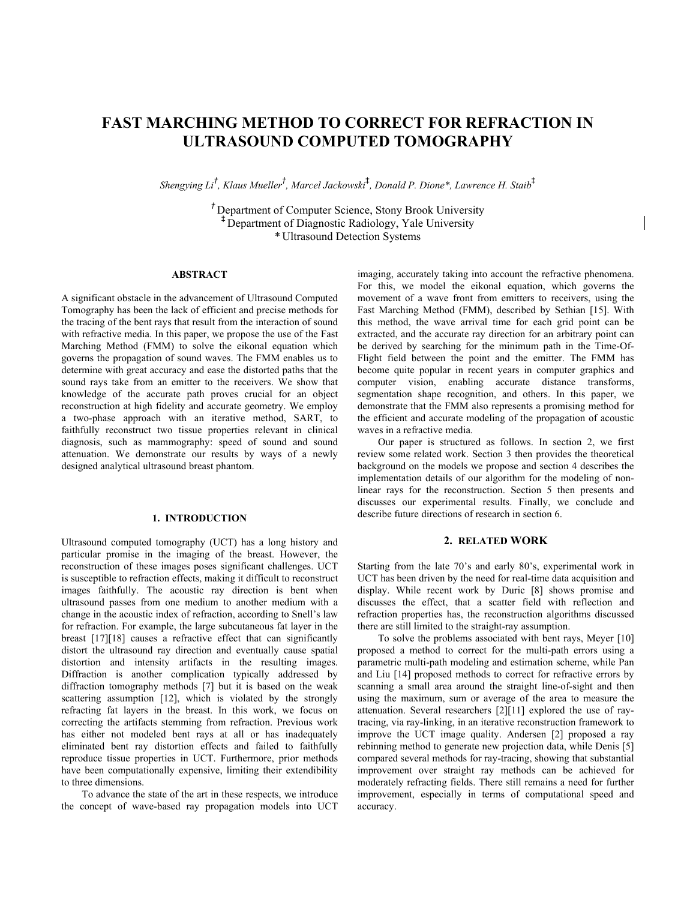## **FAST MARCHING METHOD TO CORRECT FOR REFRACTION IN ULTRASOUND COMPUTED TOMOGRAPHY**

*Shengying Li† , Klaus Mueller† , Marcel Jackowski*‡ *, Donald P. Dione\*, Lawrence H. Staib*‡

*†* Department of Computer Science, Stony Brook University ‡ Department of Diagnostic Radiology, Yale University \* Ultrasound Detection Systems

#### **ABSTRACT**

A significant obstacle in the advancement of Ultrasound Computed Tomography has been the lack of efficient and precise methods for the tracing of the bent rays that result from the interaction of sound with refractive media. In this paper, we propose the use of the Fast Marching Method (FMM) to solve the eikonal equation which governs the propagation of sound waves. The FMM enables us to determine with great accuracy and ease the distorted paths that the sound rays take from an emitter to the receivers. We show that knowledge of the accurate path proves crucial for an object reconstruction at high fidelity and accurate geometry. We employ a two-phase approach with an iterative method, SART, to faithfully reconstruct two tissue properties relevant in clinical diagnosis, such as mammography: speed of sound and sound attenuation. We demonstrate our results by ways of a newly designed analytical ultrasound breast phantom.

### **1. INTRODUCTION**

Ultrasound computed tomography (UCT) has a long history and particular promise in the imaging of the breast. However, the reconstruction of these images poses significant challenges. UCT is susceptible to refraction effects, making it difficult to reconstruct images faithfully. The acoustic ray direction is bent when ultrasound passes from one medium to another medium with a change in the acoustic index of refraction, according to Snell's law for refraction. For example, the large subcutaneous fat layer in the breast [17][18] causes a refractive effect that can significantly distort the ultrasound ray direction and eventually cause spatial distortion and intensity artifacts in the resulting images. Diffraction is another complication typically addressed by diffraction tomography methods [7] but it is based on the weak scattering assumption [12], which is violated by the strongly refracting fat layers in the breast. In this work, we focus on correcting the artifacts stemming from refraction. Previous work has either not modeled bent rays at all or has inadequately eliminated bent ray distortion effects and failed to faithfully reproduce tissue properties in UCT. Furthermore, prior methods have been computationally expensive, limiting their extendibility to three dimensions.

To advance the state of the art in these respects, we introduce the concept of wave-based ray propagation models into UCT

imaging, accurately taking into account the refractive phenomena. For this, we model the eikonal equation, which governs the movement of a wave front from emitters to receivers, using the Fast Marching Method (FMM), described by Sethian [15]. With this method, the wave arrival time for each grid point can be extracted, and the accurate ray direction for an arbitrary point can be derived by searching for the minimum path in the Time-Of-Flight field between the point and the emitter. The FMM has become quite popular in recent years in computer graphics and computer vision, enabling accurate distance transforms. segmentation shape recognition, and others. In this paper, we demonstrate that the FMM also represents a promising method for the efficient and accurate modeling of the propagation of acoustic waves in a refractive media.

Our paper is structured as follows. In section 2, we first review some related work. Section 3 then provides the theoretical background on the models we propose and section 4 describes the implementation details of our algorithm for the modeling of nonlinear rays for the reconstruction. Section 5 then presents and discusses our experimental results. Finally, we conclude and describe future directions of research in section 6.

#### **2. RELATED WORK**

Starting from the late 70's and early 80's, experimental work in UCT has been driven by the need for real-time data acquisition and display. While recent work by Duric [8] shows promise and discusses the effect, that a scatter field with reflection and refraction properties has, the reconstruction algorithms discussed there are still limited to the straight-ray assumption.

To solve the problems associated with bent rays, Meyer [10] proposed a method to correct for the multi-path errors using a parametric multi-path modeling and estimation scheme, while Pan and Liu [14] proposed methods to correct for refractive errors by scanning a small area around the straight line-of-sight and then using the maximum, sum or average of the area to measure the attenuation. Several researchers [2][11] explored the use of raytracing, via ray-linking, in an iterative reconstruction framework to improve the UCT image quality. Andersen [2] proposed a ray rebinning method to generate new projection data, while Denis [5] compared several methods for ray-tracing, showing that substantial improvement over straight ray methods can be achieved for moderately refracting fields. There still remains a need for further improvement, especially in terms of computational speed and accuracy.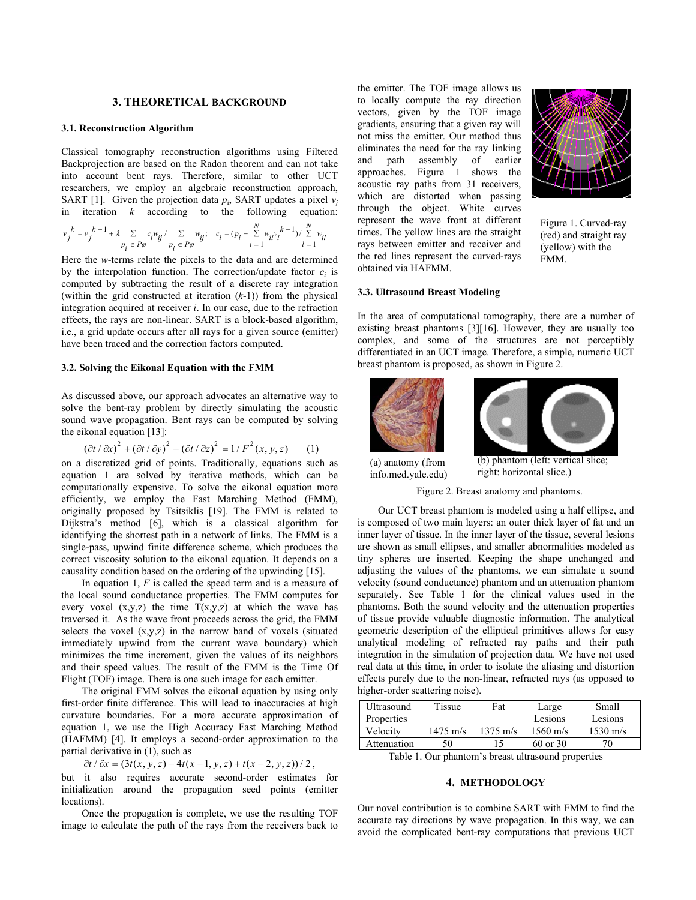#### **3. THEORETICAL BACKGROUND**

#### **3.1. Reconstruction Algorithm**

Classical tomography reconstruction algorithms using Filtered Backprojection are based on the Radon theorem and can not take into account bent rays. Therefore, similar to other UCT researchers, we employ an algebraic reconstruction approach, SART [1]. Given the projection data  $p_i$ , SART updates a pixel  $v_i$ in iteration *k* according to the following equation:

$$
v_j^{\phantom{i}k}=v_j^{\phantom{i}k-1}+\lambda\sum\limits_{p_i\phantom{i}\in P\varphi}c_iw_{ij}^\prime\underset{p_i\phantom{j}\in P\varphi}{\sum}w_{ij};\quad c_i=(p_i-\sum\limits_{i=1}^Nw_{ii}v_i^{\phantom{i}k-1})/\sum\limits_{l\phantom{i}=1}^N w_{il}
$$

Here the *w*-terms relate the pixels to the data and are determined by the interpolation function. The correction/update factor  $c_i$  is computed by subtracting the result of a discrete ray integration (within the grid constructed at iteration (*k*-1)) from the physical integration acquired at receiver *i*. In our case, due to the refraction effects, the rays are non-linear. SART is a block-based algorithm, i.e., a grid update occurs after all rays for a given source (emitter) have been traced and the correction factors computed.

#### **3.2. Solving the Eikonal Equation with the FMM**

As discussed above, our approach advocates an alternative way to solve the bent-ray problem by directly simulating the acoustic sound wave propagation. Bent rays can be computed by solving the eikonal equation [13]:

$$
(\partial t/\partial x)^2 + (\partial t/\partial y)^2 + (\partial t/\partial z)^2 = 1/F^2(x, y, z)
$$
 (1)

on a discretized grid of points. Traditionally, equations such as equation 1 are solved by iterative methods, which can be computationally expensive. To solve the eikonal equation more efficiently, we employ the Fast Marching Method (FMM), originally proposed by Tsitsiklis [19]. The FMM is related to Dijkstra's method [6], which is a classical algorithm for identifying the shortest path in a network of links. The FMM is a single-pass, upwind finite difference scheme, which produces the correct viscosity solution to the eikonal equation. It depends on a causality condition based on the ordering of the upwinding [15].

In equation 1, *F* is called the speed term and is a measure of the local sound conductance properties. The FMM computes for every voxel  $(x,y,z)$  the time  $T(x,y,z)$  at which the wave has traversed it. As the wave front proceeds across the grid, the FMM selects the voxel  $(x,y,z)$  in the narrow band of voxels (situated immediately upwind from the current wave boundary) which minimizes the time increment, given the values of its neighbors and their speed values. The result of the FMM is the Time Of Flight (TOF) image. There is one such image for each emitter.

The original FMM solves the eikonal equation by using only first-order finite difference. This will lead to inaccuracies at high curvature boundaries. For a more accurate approximation of equation 1, we use the High Accuracy Fast Marching Method (HAFMM) [4]. It employs a second-order approximation to the partial derivative in (1), such as

 $\partial t / \partial x = (3t(x, y, z) - 4t(x - 1, y, z) + t(x - 2, y, z))/2$ ,

but it also requires accurate second-order estimates for initialization around the propagation seed points (emitter locations).

Once the propagation is complete, we use the resulting TOF image to calculate the path of the rays from the receivers back to the emitter. The TOF image allows us to locally compute the ray direction vectors, given by the TOF image gradients, ensuring that a given ray will not miss the emitter. Our method thus eliminates the need for the ray linking and path assembly of earlier approaches. Figure 1 shows the acoustic ray paths from 31 receivers, which are distorted when passing through the object. White curves represent the wave front at different times. The yellow lines are the straight rays between emitter and receiver and the red lines represent the curved-rays obtained via HAFMM.



Figure 1. Curved-ray (red) and straight ray (yellow) with the FMM.

#### **3.3. Ultrasound Breast Modeling**

In the area of computational tomography, there are a number of existing breast phantoms [3][16]. However, they are usually too complex, and some of the structures are not perceptibly differentiated in an UCT image. Therefore, a simple, numeric UCT breast phantom is proposed, as shown in Figure 2.





(a) anatomy (from info.med.yale.edu)

right: horizontal slice.)

Figure 2. Breast anatomy and phantoms.

Our UCT breast phantom is modeled using a half ellipse, and is composed of two main layers: an outer thick layer of fat and an inner layer of tissue. In the inner layer of the tissue, several lesions are shown as small ellipses, and smaller abnormalities modeled as tiny spheres are inserted. Keeping the shape unchanged and adjusting the values of the phantoms, we can simulate a sound velocity (sound conductance) phantom and an attenuation phantom separately. See Table 1 for the clinical values used in the phantoms. Both the sound velocity and the attenuation properties of tissue provide valuable diagnostic information. The analytical geometric description of the elliptical primitives allows for easy analytical modeling of refracted ray paths and their path integration in the simulation of projection data. We have not used real data at this time, in order to isolate the aliasing and distortion effects purely due to the non-linear, refracted rays (as opposed to higher-order scattering noise).

| <b>Ultrasound</b>                     | Tissue             | Fat                | Large              | Small              |
|---------------------------------------|--------------------|--------------------|--------------------|--------------------|
| Properties                            |                    |                    | Lesions            | Lesions            |
| Velocity                              | $1475 \text{ m/s}$ | $1375 \text{ m/s}$ | $1560 \text{ m/s}$ | $1530 \text{ m/s}$ |
| Attenuation                           | 50                 |                    | 60 or 30           |                    |
| $Table 1. Our_nhom'$ here is a hyper- |                    |                    |                    |                    |

Table 1. Our phantom's breast ultrasound properties

#### **4. METHODOLOGY**

Our novel contribution is to combine SART with FMM to find the accurate ray directions by wave propagation. In this way, we can avoid the complicated bent-ray computations that previous UCT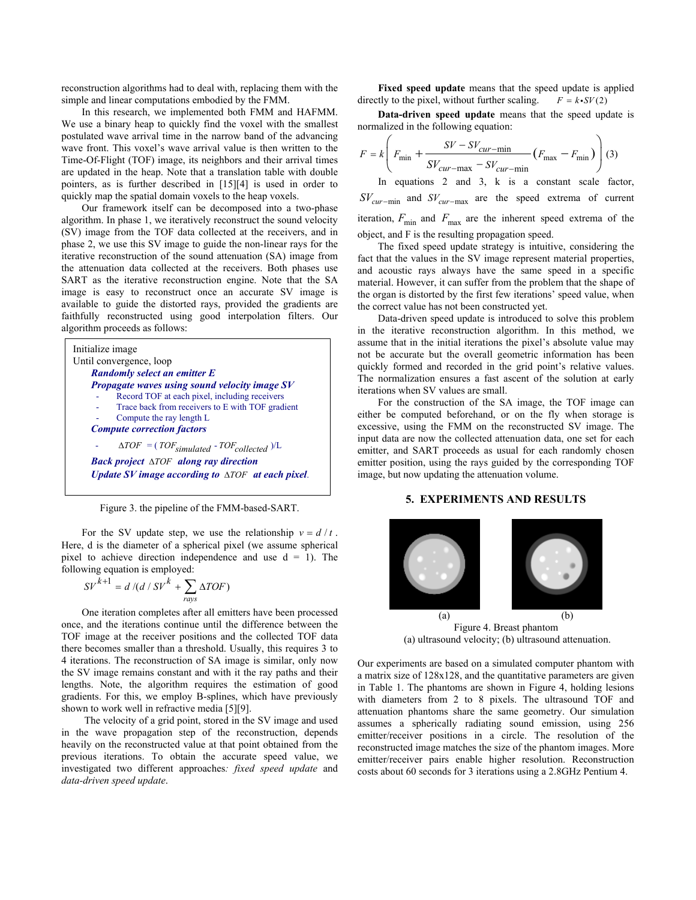reconstruction algorithms had to deal with, replacing them with the simple and linear computations embodied by the FMM. In this research, we implemented both FMM and HAFMM.

We use a binary heap to quickly find the voxel with the smallest postulated wave arrival time in the narrow band of the advancing wave front. This voxel's wave arrival value is then written to the Time-Of-Flight (TOF) image, its neighbors and their arrival times are updated in the heap. Note that a translation table with double pointers, as is further described in [15][4] is used in order to quickly map the spatial domain voxels to the heap voxels.

Our framework itself can be decomposed into a two-phase algorithm. In phase 1, we iteratively reconstruct the sound velocity (SV) image from the TOF data collected at the receivers, and in phase 2, we use this SV image to guide the non-linear rays for the iterative reconstruction of the sound attenuation (SA) image from the attenuation data collected at the receivers. Both phases use SART as the iterative reconstruction engine. Note that the SA image is easy to reconstruct once an accurate SV image is available to guide the distorted rays, provided the gradients are faithfully reconstructed using good interpolation filters. Our algorithm proceeds as follows:

| Initialize image                                            |  |  |  |
|-------------------------------------------------------------|--|--|--|
| Until convergence, loop                                     |  |  |  |
| <b>Randomly select an emitter E</b>                         |  |  |  |
| <b>Propagate waves using sound velocity image SV</b>        |  |  |  |
| Record TOF at each pixel, including receivers               |  |  |  |
| Trace back from receivers to E with TOF gradient            |  |  |  |
| Compute the ray length L                                    |  |  |  |
| <b>Compute correction factors</b>                           |  |  |  |
| $\Delta TOF = (TOF_{simulated} - TOF_{collected})/L$        |  |  |  |
| <b>Back project</b> $\triangle TOF$ along ray direction     |  |  |  |
| Update SV image according to $\triangle TOF$ at each pixel. |  |  |  |

Figure 3. the pipeline of the FMM-based-SART.

For the SV update step, we use the relationship  $v = d/t$ . Here, d is the diameter of a spherical pixel (we assume spherical pixel to achieve direction independence and use  $d = 1$ ). The following equation is employed:

$$
SV^{k+1} = d / (d / SV^k + \sum_{rays} \Delta TOF)
$$

One iteration completes after all emitters have been processed once, and the iterations continue until the difference between the TOF image at the receiver positions and the collected TOF data there becomes smaller than a threshold. Usually, this requires 3 to 4 iterations. The reconstruction of SA image is similar, only now the SV image remains constant and with it the ray paths and their lengths. Note, the algorithm requires the estimation of good gradients. For this, we employ B-splines, which have previously shown to work well in refractive media [5][9].

 The velocity of a grid point, stored in the SV image and used in the wave propagation step of the reconstruction, depends heavily on the reconstructed value at that point obtained from the previous iterations. To obtain the accurate speed value, we investigated two different approaches*: fixed speed update* and *data-driven speed update*.

**Fixed speed update** means that the speed update is applied directly to the pixel, without further scaling.  $F = k \cdot SV(2)$ 

**Data-driven speed update** means that the speed update is normalized in the following equation:

$$
F = k \left( F_{\min} + \frac{SV - SV_{cur - \min}}{SV_{cur - \max} - SV_{cur - \min}} (F_{\max} - F_{\min}) \right) (3)
$$

In equations 2 and 3, k is a constant scale factor,  $SV_{cur-min}$  and  $SV_{cur-max}$  are the speed extrema of current iteration,  $F_{\text{min}}$  and  $F_{\text{max}}$  are the inherent speed extrema of the object, and F is the resulting propagation speed.

The fixed speed update strategy is intuitive, considering the fact that the values in the SV image represent material properties, and acoustic rays always have the same speed in a specific material. However, it can suffer from the problem that the shape of the organ is distorted by the first few iterations' speed value, when the correct value has not been constructed yet.

Data-driven speed update is introduced to solve this problem in the iterative reconstruction algorithm. In this method, we assume that in the initial iterations the pixel's absolute value may not be accurate but the overall geometric information has been quickly formed and recorded in the grid point's relative values. The normalization ensures a fast ascent of the solution at early iterations when SV values are small.

For the construction of the SA image, the TOF image can either be computed beforehand, or on the fly when storage is excessive, using the FMM on the reconstructed SV image. The input data are now the collected attenuation data, one set for each emitter, and SART proceeds as usual for each randomly chosen emitter position, using the rays guided by the corresponding TOF image, but now updating the attenuation volume.

## **5. EXPERIMENTS AND RESULTS**



Figure 4. Breast phantom (a) ultrasound velocity; (b) ultrasound attenuation.

Our experiments are based on a simulated computer phantom with a matrix size of 128x128, and the quantitative parameters are given in Table 1. The phantoms are shown in Figure 4, holding lesions with diameters from 2 to 8 pixels. The ultrasound TOF and attenuation phantoms share the same geometry. Our simulation assumes a spherically radiating sound emission, using 256 emitter/receiver positions in a circle. The resolution of the reconstructed image matches the size of the phantom images. More emitter/receiver pairs enable higher resolution. Reconstruction costs about 60 seconds for 3 iterations using a 2.8GHz Pentium 4.